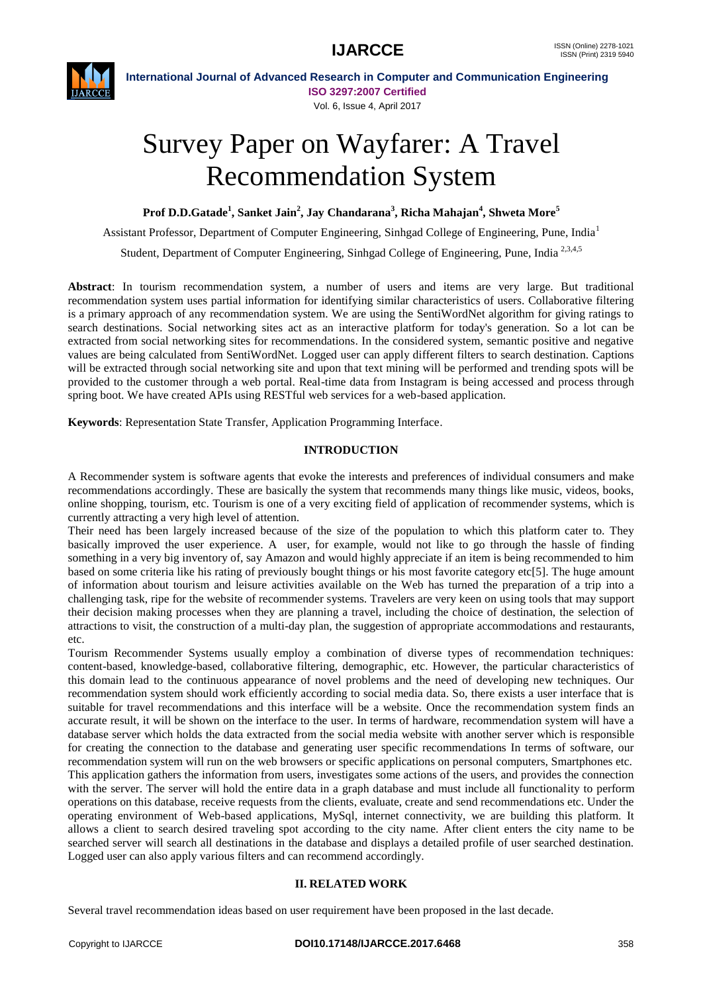

**International Journal of Advanced Research in Computer and Communication Engineering ISO 3297:2007 Certified** Vol. 6, Issue 4, April 2017

# Survey Paper on Wayfarer: A Travel Recommendation System

**Prof D.D.Gatade<sup>1</sup> , Sanket Jain<sup>2</sup> , Jay Chandarana<sup>3</sup> , Richa Mahajan<sup>4</sup> , Shweta More<sup>5</sup>**

Assistant Professor, Department of Computer Engineering, Sinhgad College of Engineering, Pune, India<sup>1</sup>

Student, Department of Computer Engineering, Sinhgad College of Engineering, Pune, India<sup>2,3,4,5</sup>

**Abstract**: In tourism recommendation system, a number of users and items are very large. But traditional recommendation system uses partial information for identifying similar characteristics of users. Collaborative filtering is a primary approach of any recommendation system. We are using the SentiWordNet algorithm for giving ratings to search destinations. Social networking sites act as an interactive platform for today's generation. So a lot can be extracted from social networking sites for recommendations. In the considered system, semantic positive and negative values are being calculated from SentiWordNet. Logged user can apply different filters to search destination. Captions will be extracted through social networking site and upon that text mining will be performed and trending spots will be provided to the customer through a web portal. Real-time data from Instagram is being accessed and process through spring boot. We have created APIs using RESTful web services for a web-based application.

**Keywords**: Representation State Transfer, Application Programming Interface.

## **INTRODUCTION**

A Recommender system is software agents that evoke the interests and preferences of individual consumers and make recommendations accordingly. These are basically the system that recommends many things like music, videos, books, online shopping, tourism, etc. Tourism is one of a very exciting field of application of recommender systems, which is currently attracting a very high level of attention.

Their need has been largely increased because of the size of the population to which this platform cater to. They basically improved the user experience. A user, for example, would not like to go through the hassle of finding something in a very big inventory of, say Amazon and would highly appreciate if an item is being recommended to him based on some criteria like his rating of previously bought things or his most favorite category etc[5]. The huge amount of information about tourism and leisure activities available on the Web has turned the preparation of a trip into a challenging task, ripe for the website of recommender systems. Travelers are very keen on using tools that may support their decision making processes when they are planning a travel, including the choice of destination, the selection of attractions to visit, the construction of a multi-day plan, the suggestion of appropriate accommodations and restaurants, etc.

Tourism Recommender Systems usually employ a combination of diverse types of recommendation techniques: content-based, knowledge-based, collaborative filtering, demographic, etc. However, the particular characteristics of this domain lead to the continuous appearance of novel problems and the need of developing new techniques. Our recommendation system should work efficiently according to social media data. So, there exists a user interface that is suitable for travel recommendations and this interface will be a website. Once the recommendation system finds an accurate result, it will be shown on the interface to the user. In terms of hardware, recommendation system will have a database server which holds the data extracted from the social media website with another server which is responsible for creating the connection to the database and generating user specific recommendations In terms of software, our recommendation system will run on the web browsers or specific applications on personal computers, Smartphones etc. This application gathers the information from users, investigates some actions of the users, and provides the connection with the server. The server will hold the entire data in a graph database and must include all functionality to perform operations on this database, receive requests from the clients, evaluate, create and send recommendations etc. Under the operating environment of Web-based applications, MySql, internet connectivity, we are building this platform. It allows a client to search desired traveling spot according to the city name. After client enters the city name to be searched server will search all destinations in the database and displays a detailed profile of user searched destination. Logged user can also apply various filters and can recommend accordingly.

### **II. RELATED WORK**

Several travel recommendation ideas based on user requirement have been proposed in the last decade.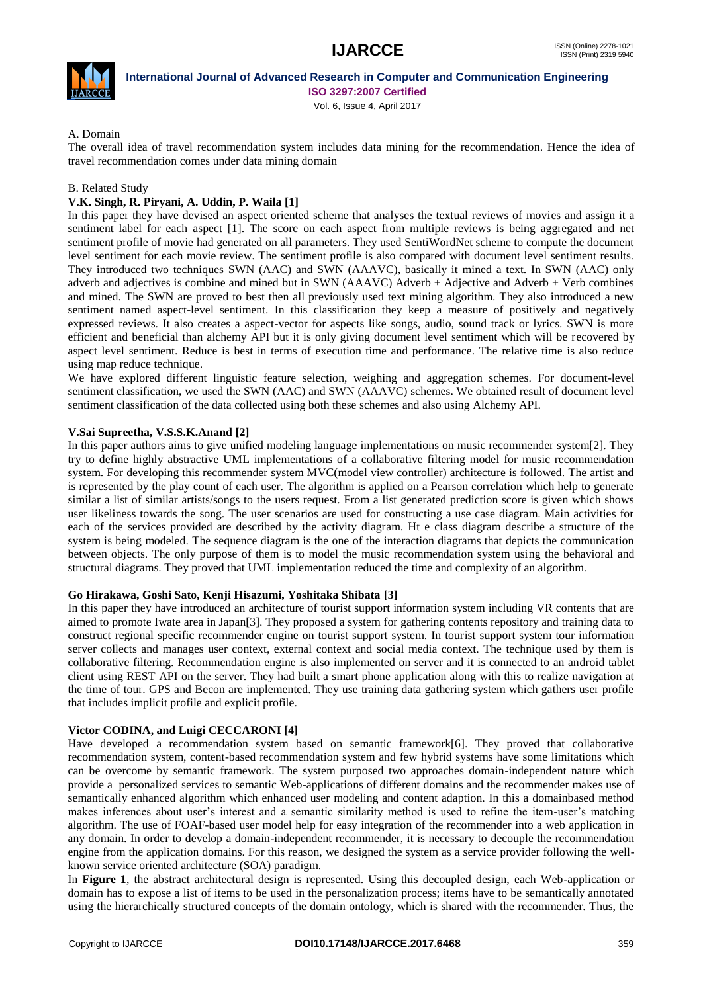

## **International Journal of Advanced Research in Computer and Communication Engineering ISO 3297:2007 Certified**

Vol. 6, Issue 4, April 2017

## A. Domain

The overall idea of travel recommendation system includes data mining for the recommendation. Hence the idea of travel recommendation comes under data mining domain

## B. Related Study

## **V.K. Singh, R. Piryani, A. Uddin, P. Waila [1]**

In this paper they have devised an aspect oriented scheme that analyses the textual reviews of movies and assign it a sentiment label for each aspect [1]. The score on each aspect from multiple reviews is being aggregated and net sentiment profile of movie had generated on all parameters. They used SentiWordNet scheme to compute the document level sentiment for each movie review. The sentiment profile is also compared with document level sentiment results. They introduced two techniques SWN (AAC) and SWN (AAAVC), basically it mined a text. In SWN (AAC) only adverb and adjectives is combine and mined but in SWN (AAAVC) Adverb + Adjective and Adverb + Verb combines and mined. The SWN are proved to best then all previously used text mining algorithm. They also introduced a new sentiment named aspect-level sentiment. In this classification they keep a measure of positively and negatively expressed reviews. It also creates a aspect-vector for aspects like songs, audio, sound track or lyrics. SWN is more efficient and beneficial than alchemy API but it is only giving document level sentiment which will be recovered by aspect level sentiment. Reduce is best in terms of execution time and performance. The relative time is also reduce using map reduce technique.

We have explored different linguistic feature selection, weighing and aggregation schemes. For document-level sentiment classification, we used the SWN (AAC) and SWN (AAAVC) schemes. We obtained result of document level sentiment classification of the data collected using both these schemes and also using Alchemy API.

## **V.Sai Supreetha, V.S.S.K.Anand [2]**

In this paper authors aims to give unified modeling language implementations on music recommender system[2]. They try to define highly abstractive UML implementations of a collaborative filtering model for music recommendation system. For developing this recommender system MVC(model view controller) architecture is followed. The artist and is represented by the play count of each user. The algorithm is applied on a Pearson correlation which help to generate similar a list of similar artists/songs to the users request. From a list generated prediction score is given which shows user likeliness towards the song. The user scenarios are used for constructing a use case diagram. Main activities for each of the services provided are described by the activity diagram. Ht e class diagram describe a structure of the system is being modeled. The sequence diagram is the one of the interaction diagrams that depicts the communication between objects. The only purpose of them is to model the music recommendation system using the behavioral and structural diagrams. They proved that UML implementation reduced the time and complexity of an algorithm.

### **Go Hirakawa, Goshi Sato, Kenji Hisazumi, Yoshitaka Shibata [3]**

In this paper they have introduced an architecture of tourist support information system including VR contents that are aimed to promote Iwate area in Japan[3]. They proposed a system for gathering contents repository and training data to construct regional specific recommender engine on tourist support system. In tourist support system tour information server collects and manages user context, external context and social media context. The technique used by them is collaborative filtering. Recommendation engine is also implemented on server and it is connected to an android tablet client using REST API on the server. They had built a smart phone application along with this to realize navigation at the time of tour. GPS and Becon are implemented. They use training data gathering system which gathers user profile that includes implicit profile and explicit profile.

## **Victor CODINA, and Luigi CECCARONI [4]**

Have developed a recommendation system based on semantic framework[6]. They proved that collaborative recommendation system, content-based recommendation system and few hybrid systems have some limitations which can be overcome by semantic framework. The system purposed two approaches domain-independent nature which provide a personalized services to semantic Web-applications of different domains and the recommender makes use of semantically enhanced algorithm which enhanced user modeling and content adaption. In this a domainbased method makes inferences about user's interest and a semantic similarity method is used to refine the item-user's matching algorithm. The use of FOAF-based user model help for easy integration of the recommender into a web application in any domain. In order to develop a domain-independent recommender, it is necessary to decouple the recommendation engine from the application domains. For this reason, we designed the system as a service provider following the wellknown service oriented architecture (SOA) paradigm.

In **Figure 1**, the abstract architectural design is represented. Using this decoupled design, each Web-application or domain has to expose a list of items to be used in the personalization process; items have to be semantically annotated using the hierarchically structured concepts of the domain ontology, which is shared with the recommender. Thus, the